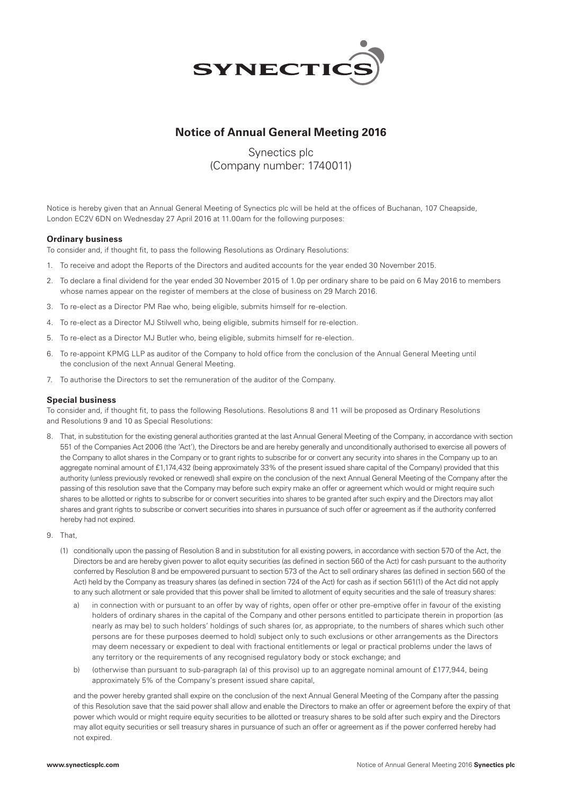

# **Notice of Annual General Meeting 2016**

# Synectics plc (Company number: 1740011)

Notice is hereby given that an Annual General Meeting of Synectics plc will be held at the offices of Buchanan, 107 Cheapside, London EC2V 6DN on Wednesday 27 April 2016 at 11.00am for the following purposes:

### **Ordinary business**

To consider and, if thought fit, to pass the following Resolutions as Ordinary Resolutions:

- 1. To receive and adopt the Reports of the Directors and audited accounts for the year ended 30 November 2015.
- 2. To declare a final dividend for the year ended 30 November 2015 of 1.0p per ordinary share to be paid on 6 May 2016 to members whose names appear on the register of members at the close of business on 29 March 2016.
- 3. To re-elect as a Director PM Rae who, being eligible, submits himself for re-election.
- 4. To re-elect as a Director MJ Stilwell who, being eligible, submits himself for re-election.
- 5. To re-elect as a Director MJ Butler who, being eligible, submits himself for re-election.
- 6. To re-appoint KPMG LLP as auditor of the Company to hold office from the conclusion of the Annual General Meeting until the conclusion of the next Annual General Meeting.
- 7. To authorise the Directors to set the remuneration of the auditor of the Company.

### **Special business**

To consider and, if thought fit, to pass the following Resolutions. Resolutions 8 and 11 will be proposed as Ordinary Resolutions and Resolutions 9 and 10 as Special Resolutions:

- 8. That, in substitution for the existing general authorities granted at the last Annual General Meeting of the Company, in accordance with section 551 of the Companies Act 2006 (the 'Act'), the Directors be and are hereby generally and unconditionally authorised to exercise all powers of the Company to allot shares in the Company or to grant rights to subscribe for or convert any security into shares in the Company up to an aggregate nominal amount of £1,174,432 (being approximately 33% of the present issued share capital of the Company) provided that this authority (unless previously revoked or renewed) shall expire on the conclusion of the next Annual General Meeting of the Company after the passing of this resolution save that the Company may before such expiry make an offer or agreement which would or might require such shares to be allotted or rights to subscribe for or convert securities into shares to be granted after such expiry and the Directors may allot shares and grant rights to subscribe or convert securities into shares in pursuance of such offer or agreement as if the authority conferred hereby had not expired.
- 9. That,
	- (1) conditionally upon the passing of Resolution 8 and in substitution for all existing powers, in accordance with section 570 of the Act, the Directors be and are hereby given power to allot equity securities (as defined in section 560 of the Act) for cash pursuant to the authority conferred by Resolution 8 and be empowered pursuant to section 573 of the Act to sell ordinary shares (as defined in section 560 of the Act) held by the Company as treasury shares (as defined in section 724 of the Act) for cash as if section 561(1) of the Act did not apply to any such allotment or sale provided that this power shall be limited to allotment of equity securities and the sale of treasury shares:
		- a) in connection with or pursuant to an offer by way of rights, open offer or other pre-emptive offer in favour of the existing holders of ordinary shares in the capital of the Company and other persons entitled to participate therein in proportion (as nearly as may be) to such holders' holdings of such shares (or, as appropriate, to the numbers of shares which such other persons are for these purposes deemed to hold) subject only to such exclusions or other arrangements as the Directors may deem necessary or expedient to deal with fractional entitlements or legal or practical problems under the laws of any territory or the requirements of any recognised regulatory body or stock exchange; and
		- b) (otherwise than pursuant to sub-paragraph (a) of this proviso) up to an aggregate nominal amount of £177,944, being approximately 5% of the Company's present issued share capital,

 and the power hereby granted shall expire on the conclusion of the next Annual General Meeting of the Company after the passing of this Resolution save that the said power shall allow and enable the Directors to make an offer or agreement before the expiry of that power which would or might require equity securities to be allotted or treasury shares to be sold after such expiry and the Directors may allot equity securities or sell treasury shares in pursuance of such an offer or agreement as if the power conferred hereby had not expired.